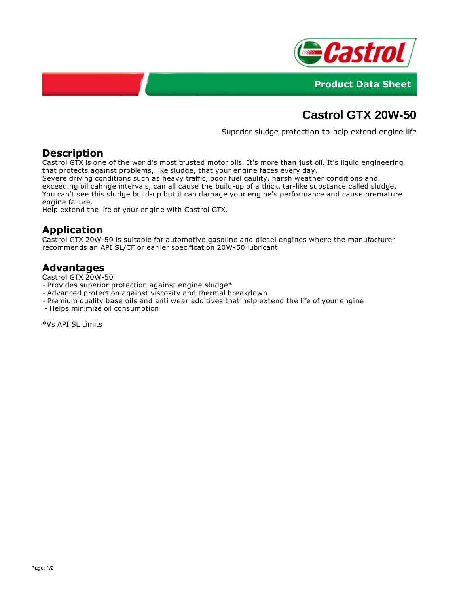



# **Castrol GTX 20W-50**

Superior sludge protection to help extend engine life

### **Description**

Castrol GTX is one of the world's most trusted motor oils. It's more than just oil. It's liquid engineering that protects against problems, like sludge, that your engine faces every day.

Severe driving conditions such as heavy traffic, poor fuel qaulity, harsh weather conditions and exceeding oil cahnge intervals, can all cause the build-up of a thick, tar-like substance called sludge. You can't see this sludge build-up but it can damage your engine's performance and cause premature engine failure.

Help extend the life of your engine with Castrol GTX.

## **Application**

Castrol GTX 20W-50 is suitable for automotive gasoline and diesel engines where the manufacturer recommends an API SL/CF or earlier specification 20W-50 lubricant

#### **Advantages**

Castrol GTX 20W-50

- Provides superior protection against engine sludge\*
- Advanced protection against viscosity and thermal breakdown
- Premium quality base oils and anti wear additives that help extend the life of your engine
- Helps minimize oil consumption

\*Vs API SL Limits